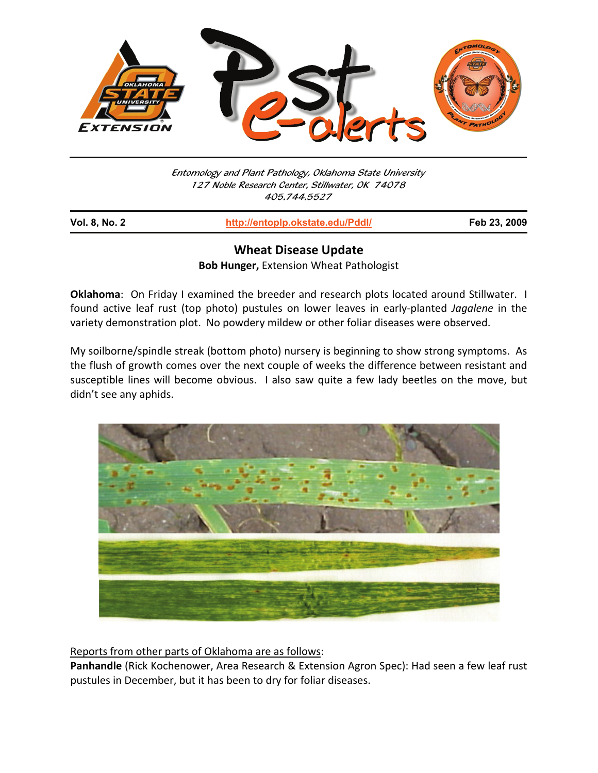

Entomology and Plant Pathology, Oklahoma State University 127 Noble Research Center, Stillwater, OK 74078 405.744.5527

j

**Vol. 8, No. 2 http://entoplp.okstate.edu/Pddl/ Feb 23, 2009**

## **Wheat Disease Update Bob Hunger,** Extension Wheat Pathologist

**Oklahoma**: On Friday I examined the breeder and research plots located around Stillwater. I found active leaf rust (top photo) pustules on lower leaves in early-planted *Jagalene* in the variety demonstration plot. No powdery mildew or other foliar diseases were observed.

My soilborne/spindle streak (bottom photo) nursery is beginning to show strong symptoms. As the flush of growth comes over the next couple of weeks the difference between resistant and susceptible lines will become obvious. I also saw quite a few lady beetles on the move, but didn't see any aphids.



Reports from other parts of Oklahoma are as follows:

**Panhandle** (Rick Kochenower, Area Research & Extension Agron Spec): Had seen a few leaf rust pustules in December, but it has been to dry for foliar diseases.